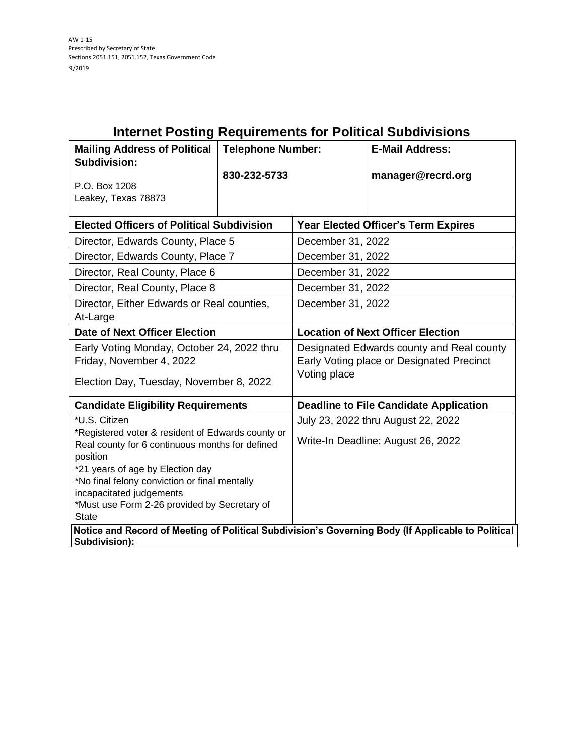| <b>Internet Posting Requirements for Political Subdivisions</b>                                                                                                                                                                                                                                                    |                          |                                                                                                        |                        |  |  |
|--------------------------------------------------------------------------------------------------------------------------------------------------------------------------------------------------------------------------------------------------------------------------------------------------------------------|--------------------------|--------------------------------------------------------------------------------------------------------|------------------------|--|--|
| <b>Mailing Address of Political</b><br><b>Subdivision:</b>                                                                                                                                                                                                                                                         | <b>Telephone Number:</b> |                                                                                                        | <b>E-Mail Address:</b> |  |  |
| P.O. Box 1208<br>Leakey, Texas 78873                                                                                                                                                                                                                                                                               | 830-232-5733             |                                                                                                        | manager@recrd.org      |  |  |
| <b>Elected Officers of Political Subdivision</b>                                                                                                                                                                                                                                                                   |                          | <b>Year Elected Officer's Term Expires</b>                                                             |                        |  |  |
| Director, Edwards County, Place 5                                                                                                                                                                                                                                                                                  |                          | December 31, 2022                                                                                      |                        |  |  |
| Director, Edwards County, Place 7                                                                                                                                                                                                                                                                                  |                          | December 31, 2022                                                                                      |                        |  |  |
| Director, Real County, Place 6                                                                                                                                                                                                                                                                                     |                          | December 31, 2022                                                                                      |                        |  |  |
| Director, Real County, Place 8                                                                                                                                                                                                                                                                                     |                          | December 31, 2022                                                                                      |                        |  |  |
| Director, Either Edwards or Real counties,<br>At-Large                                                                                                                                                                                                                                                             |                          | December 31, 2022                                                                                      |                        |  |  |
| <b>Date of Next Officer Election</b>                                                                                                                                                                                                                                                                               |                          | <b>Location of Next Officer Election</b>                                                               |                        |  |  |
| Early Voting Monday, October 24, 2022 thru<br>Friday, November 4, 2022<br>Election Day, Tuesday, November 8, 2022                                                                                                                                                                                                  |                          | Designated Edwards county and Real county<br>Early Voting place or Designated Precinct<br>Voting place |                        |  |  |
| <b>Candidate Eligibility Requirements</b>                                                                                                                                                                                                                                                                          |                          | <b>Deadline to File Candidate Application</b>                                                          |                        |  |  |
| *U.S. Citizen<br>*Registered voter & resident of Edwards county or<br>Real county for 6 continuous months for defined<br>position<br>*21 years of age by Election day<br>*No final felony conviction or final mentally<br>incapacitated judgements<br>*Must use Form 2-26 provided by Secretary of<br><b>State</b> |                          | July 23, 2022 thru August 22, 2022<br>Write-In Deadline: August 26, 2022                               |                        |  |  |
| Notice and Record of Meeting of Political Subdivision's Governing Body (If Applicable to Political<br>Subdivision):                                                                                                                                                                                                |                          |                                                                                                        |                        |  |  |